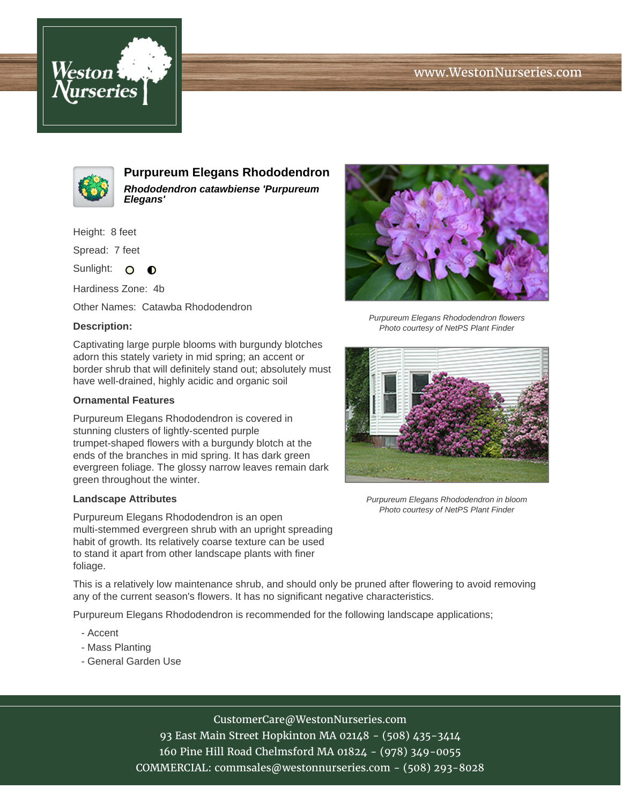# www.WestonNurseries.com





**Purpureum Elegans Rhododendron Rhododendron catawbiense 'Purpureum Elegans'**

Height: 8 feet

Spread: 7 feet

Sunlight: O  $\bullet$ 

Hardiness Zone: 4b

Other Names: Catawba Rhododendron

### **Description:**

Captivating large purple blooms with burgundy blotches adorn this stately variety in mid spring; an accent or border shrub that will definitely stand out; absolutely must have well-drained, highly acidic and organic soil

#### **Ornamental Features**

Purpureum Elegans Rhododendron is covered in stunning clusters of lightly-scented purple trumpet-shaped flowers with a burgundy blotch at the ends of the branches in mid spring. It has dark green evergreen foliage. The glossy narrow leaves remain dark green throughout the winter.

#### **Landscape Attributes**

Purpureum Elegans Rhododendron is an open multi-stemmed evergreen shrub with an upright spreading habit of growth. Its relatively coarse texture can be used to stand it apart from other landscape plants with finer foliage.

This is a relatively low maintenance shrub, and should only be pruned after flowering to avoid removing any of the current season's flowers. It has no significant negative characteristics.

Purpureum Elegans Rhododendron is recommended for the following landscape applications;

- Accent
- Mass Planting
- General Garden Use



Photo courtesy of NetPS Plant Finder



Purpureum Elegans Rhododendron in bloom Photo courtesy of NetPS Plant Finder

CustomerCare@WestonNurseries.com

93 East Main Street Hopkinton MA 02148 - (508) 435-3414 160 Pine Hill Road Chelmsford MA 01824 - (978) 349-0055 COMMERCIAL: commsales@westonnurseries.com - (508) 293-8028